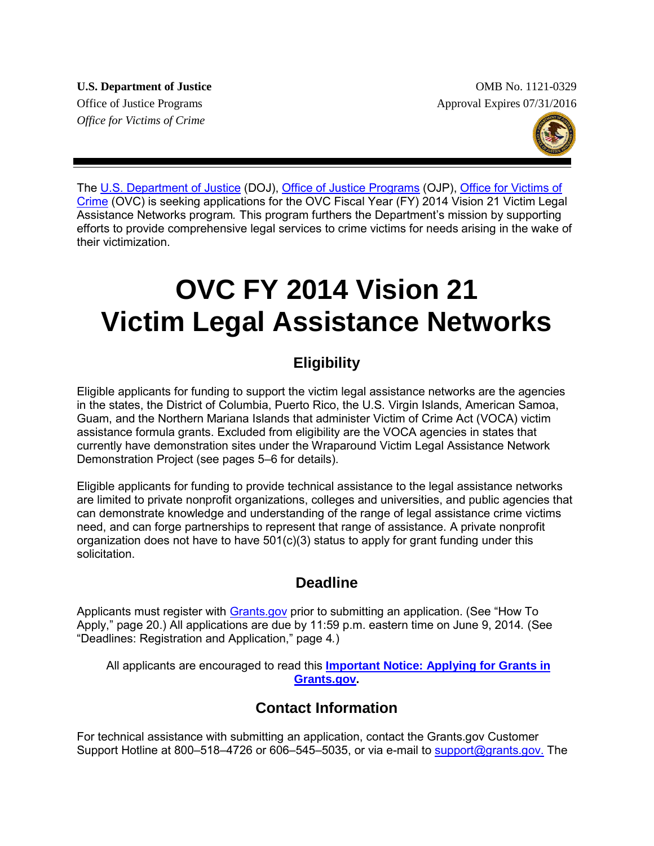*Office for Victims of Crime*

**U.S. Department of Justice**  OMB No. 1121-0329 Office of Justice Programs Approval Expires 07/31/2016



The [U.S. Department of Justice](http://www.justice.gov/) (DOJ), [Office of Justice Programs](http://ojp.gov/) (OJP), Office for Victims of [Crime](http://www.ovc.gov/) (OVC) is seeking applications for the OVC Fiscal Year (FY) 2014 Vision 21 Victim Legal Assistance Networks program*.* This program furthers the Department's mission by supporting efforts to provide comprehensive legal services to crime victims for needs arising in the wake of their victimization.

# **OVC FY 2014 Vision 21 Victim Legal Assistance Networks**

## **Eligibility**

Eligible applicants for funding to support the victim legal assistance networks are the agencies in the states, the District of Columbia, Puerto Rico, the U.S. Virgin Islands, American Samoa, Guam, and the Northern Mariana Islands that administer Victim of Crime Act (VOCA) victim assistance formula grants. Excluded from eligibility are the VOCA agencies in states that currently have demonstration sites under the Wraparound Victim Legal Assistance Network Demonstration Project (see pages 5–6 for details).

Eligible applicants for funding to provide technical assistance to the legal assistance networks are limited to private nonprofit organizations, colleges and universities, and public agencies that can demonstrate knowledge and understanding of the range of legal assistance crime victims need, and can forge partnerships to represent that range of assistance. A private nonprofit organization does not have to have 501(c)(3) status to apply for grant funding under this solicitation.

## **Deadline**

Applicants must register with [Grants.gov](http://www.grants.gov/applicants/apply_for_grants.jsp) prior to submitting an application. (See "How To Apply," page 20.) All applications are due by 11:59 p.m. eastern time on June 9, 2014*.* (See "Deadlines: Registration and Application," page 4*.*)

All applicants are encouraged to read this **[Important Notice: Applying for Grants in](http://www.ojp.usdoj.gov/funding/grantsgov_information.htm)  [Grants.gov.](http://www.ojp.usdoj.gov/funding/grantsgov_information.htm)**

## **Contact Information**

For technical assistance with submitting an application, contact the Grants.gov Customer Support Hotline at 800-518-4726 or 606-545-5035, or via e-mail to [support@grants.gov.](mailto:support@grants.gov) The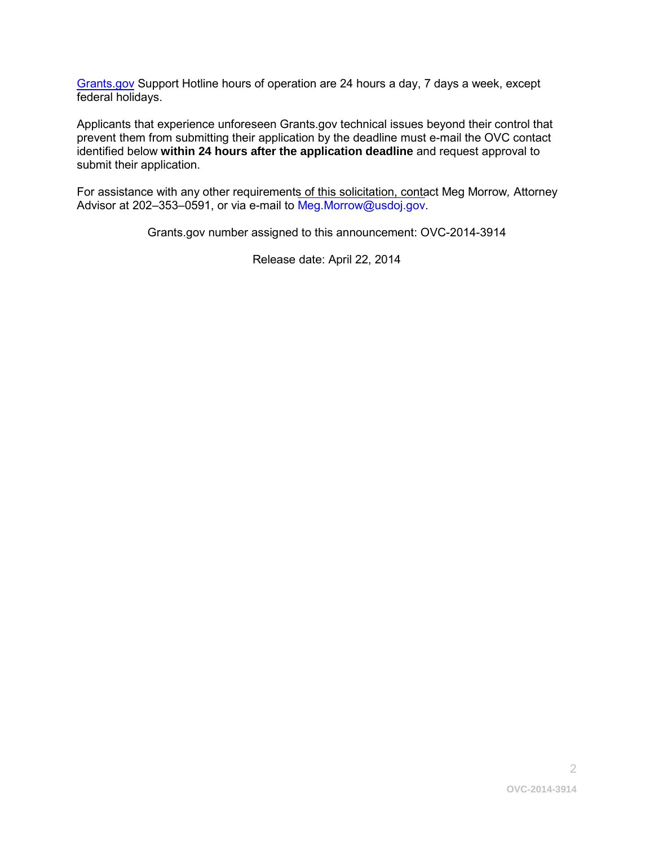[Grants.gov](http://www.grants.gov/applicants/apply_for_grants.jsp) Support Hotline hours of operation are 24 hours a day, 7 days a week, except federal holidays.

Applicants that experience unforeseen Grants.gov technical issues beyond their control that prevent them from submitting their application by the deadline must e-mail the OVC contact identified below **within 24 hours after the application deadline** and request approval to submit their application.

For assistance with any other requiremen[ts of this solicitation, conta](mailto:Meg.Morrow@usdoj.gov)ct Meg Morrow*,* Attorney Advisor at 202–353–0591, or via e-mail to Meg.Morrow@usdoj.gov.

Grants.gov number assigned to this announcement: OVC-2014-3914

Release date: April 22, 2014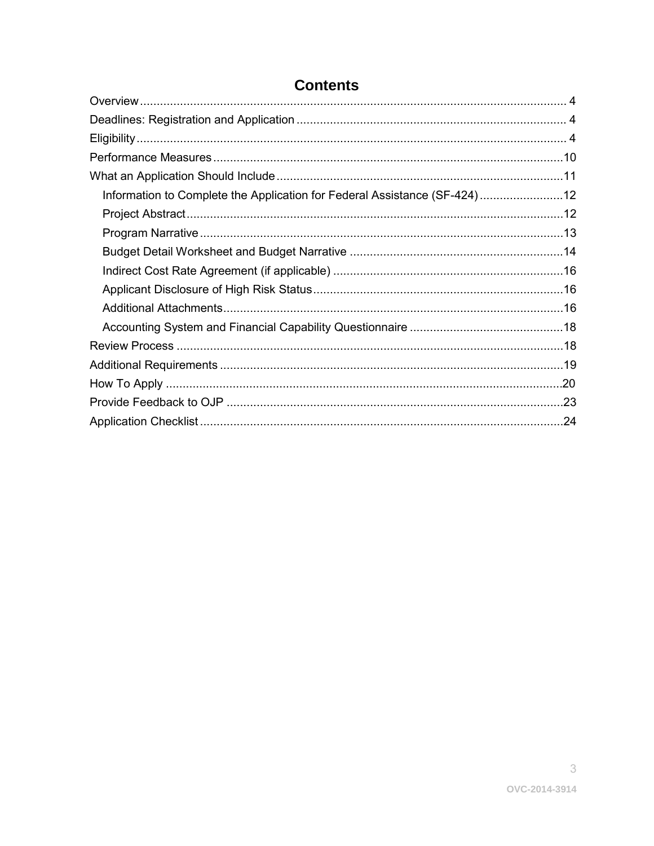| $\sim$ --------                                                           |  |
|---------------------------------------------------------------------------|--|
|                                                                           |  |
|                                                                           |  |
|                                                                           |  |
|                                                                           |  |
| Information to Complete the Application for Federal Assistance (SF-424)12 |  |
|                                                                           |  |
|                                                                           |  |
|                                                                           |  |
|                                                                           |  |
|                                                                           |  |
|                                                                           |  |
|                                                                           |  |
|                                                                           |  |
|                                                                           |  |
|                                                                           |  |
|                                                                           |  |
|                                                                           |  |

## Contents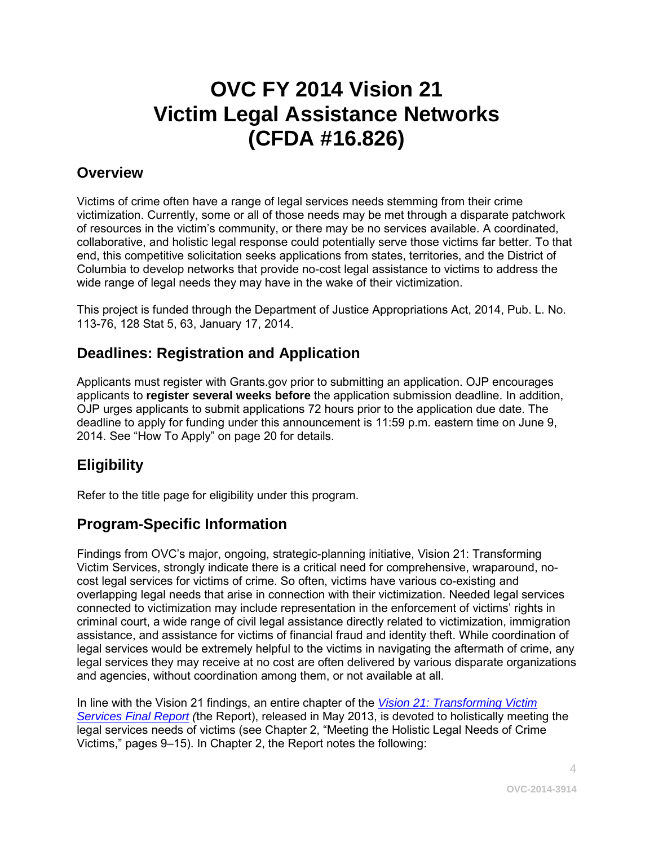## **OVC FY 2014 Vision 21 Victim Legal Assistance Networks (CFDA #16.826)**

## <span id="page-3-0"></span>**Overview**

Victims of crime often have a range of legal services needs stemming from their crime victimization. Currently, some or all of those needs may be met through a disparate patchwork of resources in the victim's community, or there may be no services available. A coordinated, collaborative, and holistic legal response could potentially serve those victims far better. To that end, this competitive solicitation seeks applications from states, territories, and the District of Columbia to develop networks that provide no-cost legal assistance to victims to address the wide range of legal needs they may have in the wake of their victimization.

This project is funded through the Department of Justice Appropriations Act, 2014, Pub. L. No. 113-76, 128 Stat 5, 63, January 17, 2014.

## <span id="page-3-1"></span>**Deadlines: Registration and Application**

Applicants must register with Grants.gov prior to submitting an application. OJP encourages applicants to **register several weeks before** the application submission deadline. In addition, OJP urges applicants to submit applications 72 hours prior to the application due date. The deadline to apply for funding under this announcement is 11:59 p.m. eastern time on June 9, 2014. See "How To Apply" on page 20 for details.

## <span id="page-3-2"></span>**Eligibility**

Refer to the title page for eligibility under this program.

## **Program-Specific Information**

Findings from OVC's major, ongoing, strategic-planning initiative, Vision 21: Transforming Victim Services, strongly indicate there is a critical need for comprehensive, wraparound, nocost legal services for victims of crime. So often, victims have various co-existing and overlapping legal needs that arise in connection with their victimization. Needed legal services connected to victimization may include representation in the enforcement of victims' rights in criminal court, a wide range of civil legal assistance directly related to victimization, immigration assistance, and assistance for victims of financial fraud and identity theft. While coordination of legal services would be extremely helpful to the victims in navigating the aftermath of crime, any legal services they may receive at no cost are often delivered by various disparate organizations and agencies, without coordination among them, or not available at all.

In line with the Vision 21 findings, an entire chapter of the *Vision 21: [Transforming Victim](http://ovc.ncjrs.gov/vision21/pdfs/Vision21_Report.pdf)  [Services Final Report](http://ovc.ncjrs.gov/vision21/pdfs/Vision21_Report.pdf) (*the Report), released in May 2013, is devoted to holistically meeting the legal services needs of victims (see Chapter 2, "Meeting the Holistic Legal Needs of Crime Victims," pages 9–15). In Chapter 2, the Report notes the following: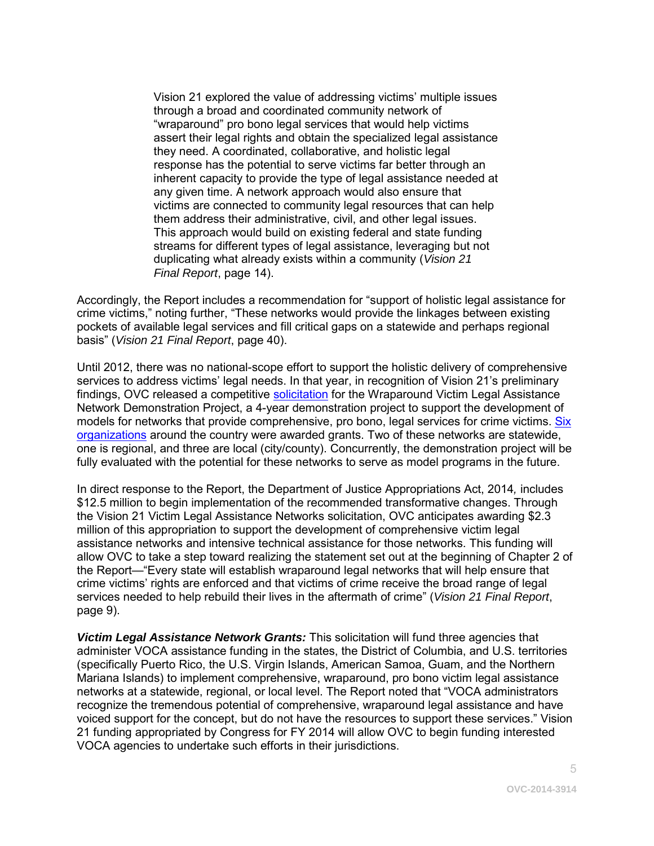Vision 21 explored the value of addressing victims' multiple issues through a broad and coordinated community network of "wraparound" pro bono legal services that would help victims assert their legal rights and obtain the specialized legal assistance they need. A coordinated, collaborative, and holistic legal response has the potential to serve victims far better through an inherent capacity to provide the type of legal assistance needed at any given time. A network approach would also ensure that victims are connected to community legal resources that can help them address their administrative, civil, and other legal issues. This approach would build on existing federal and state funding streams for different types of legal assistance, leveraging but not duplicating what already exists within a community (*Vision 21 Final Report*, page 14).

Accordingly, the Report includes a recommendation for "support of holistic legal assistance for crime victims," noting further, "These networks would provide the linkages between existing pockets of available legal services and fill critical gaps on a statewide and perhaps regional basis" (*Vision 21 Final Report*, page 40).

Until 2012, there was no national-scope effort to support the holistic delivery of comprehensive services to address victims' legal needs. In that year, in recognition of Vision 21's preliminary findings, OVC released a competitive [solicitation](http://ojp.gov/ovc/grants/pdftxt/FY2012_WraparoundVictimLegalAssistance.pdf) for the Wraparound Victim Legal Assistance Network Demonstration Project, a 4-year demonstration project to support the development of models for networks that provide comprehensive, pro bono, legal services for crime victims. Six [organizations](http://ojp.gov/ovc/grants/disc_grant_awards_2012.html) around the country were awarded grants. Two of these networks are statewide, one is regional, and three are local (city/county). Concurrently, the demonstration project will be fully evaluated with the potential for these networks to serve as model programs in the future.

In direct response to the Report, the Department of Justice Appropriations Act, 2014*,* includes \$12.5 million to begin implementation of the recommended transformative changes. Through the Vision 21 Victim Legal Assistance Networks solicitation, OVC anticipates awarding \$2.3 million of this appropriation to support the development of comprehensive victim legal assistance networks and intensive technical assistance for those networks. This funding will allow OVC to take a step toward realizing the statement set out at the beginning of Chapter 2 of the Report—"Every state will establish wraparound legal networks that will help ensure that crime victims' rights are enforced and that victims of crime receive the broad range of legal services needed to help rebuild their lives in the aftermath of crime" (*Vision 21 Final Report*, page 9).

*Victim Legal Assistance Network Grants:* This solicitation will fund three agencies that administer VOCA assistance funding in the states, the District of Columbia, and U.S. territories (specifically Puerto Rico, the U.S. Virgin Islands, American Samoa, Guam, and the Northern Mariana Islands) to implement comprehensive, wraparound, pro bono victim legal assistance networks at a statewide, regional, or local level. The Report noted that "VOCA administrators recognize the tremendous potential of comprehensive, wraparound legal assistance and have voiced support for the concept, but do not have the resources to support these services." Vision 21 funding appropriated by Congress for FY 2014 will allow OVC to begin funding interested VOCA agencies to undertake such efforts in their jurisdictions.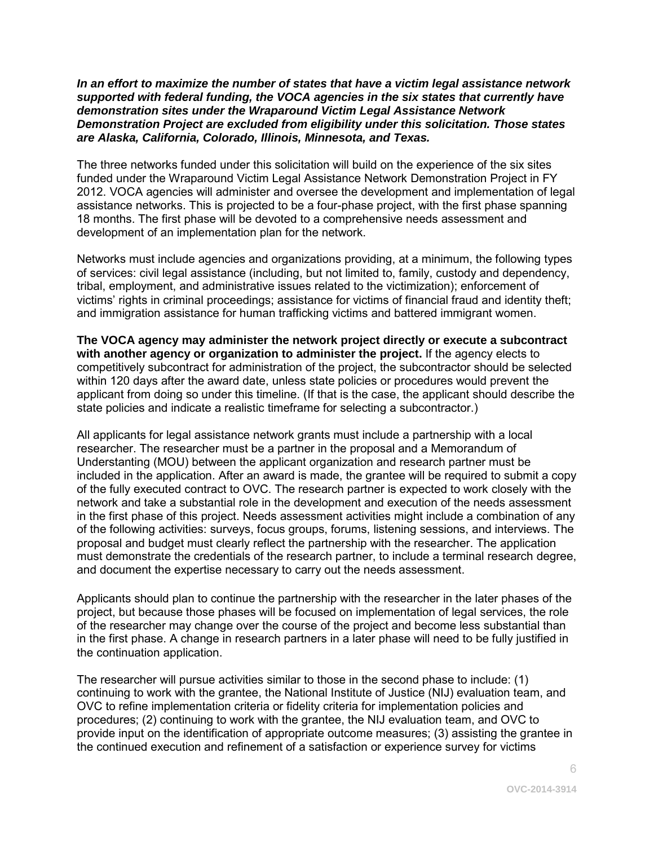#### *In an effort to maximize the number of states that have a victim legal assistance network supported with federal funding, the VOCA agencies in the six states that currently have demonstration sites under the Wraparound Victim Legal Assistance Network Demonstration Project are excluded from eligibility under this solicitation. Those states are Alaska, California, Colorado, Illinois, Minnesota, and Texas.*

The three networks funded under this solicitation will build on the experience of the six sites funded under the Wraparound Victim Legal Assistance Network Demonstration Project in FY 2012. VOCA agencies will administer and oversee the development and implementation of legal assistance networks. This is projected to be a four-phase project, with the first phase spanning 18 months. The first phase will be devoted to a comprehensive needs assessment and development of an implementation plan for the network.

Networks must include agencies and organizations providing, at a minimum, the following types of services: civil legal assistance (including, but not limited to, family, custody and dependency, tribal, employment, and administrative issues related to the victimization); enforcement of victims' rights in criminal proceedings; assistance for victims of financial fraud and identity theft; and immigration assistance for human trafficking victims and battered immigrant women.

**The VOCA agency may administer the network project directly or execute a subcontract with another agency or organization to administer the project.** If the agency elects to competitively subcontract for administration of the project, the subcontractor should be selected within 120 days after the award date, unless state policies or procedures would prevent the applicant from doing so under this timeline. (If that is the case, the applicant should describe the state policies and indicate a realistic timeframe for selecting a subcontractor.)

All applicants for legal assistance network grants must include a partnership with a local researcher. The researcher must be a partner in the proposal and a Memorandum of Understanting (MOU) between the applicant organization and research partner must be included in the application. After an award is made, the grantee will be required to submit a copy of the fully executed contract to OVC. The research partner is expected to work closely with the network and take a substantial role in the development and execution of the needs assessment in the first phase of this project. Needs assessment activities might include a combination of any of the following activities: surveys, focus groups, forums, listening sessions, and interviews. The proposal and budget must clearly reflect the partnership with the researcher. The application must demonstrate the credentials of the research partner, to include a terminal research degree, and document the expertise necessary to carry out the needs assessment.

Applicants should plan to continue the partnership with the researcher in the later phases of the project, but because those phases will be focused on implementation of legal services, the role of the researcher may change over the course of the project and become less substantial than in the first phase. A change in research partners in a later phase will need to be fully justified in the continuation application.

The researcher will pursue activities similar to those in the second phase to include: (1) continuing to work with the grantee, the National Institute of Justice (NIJ) evaluation team, and OVC to refine implementation criteria or fidelity criteria for implementation policies and procedures; (2) continuing to work with the grantee, the NIJ evaluation team, and OVC to provide input on the identification of appropriate outcome measures; (3) assisting the grantee in the continued execution and refinement of a satisfaction or experience survey for victims

6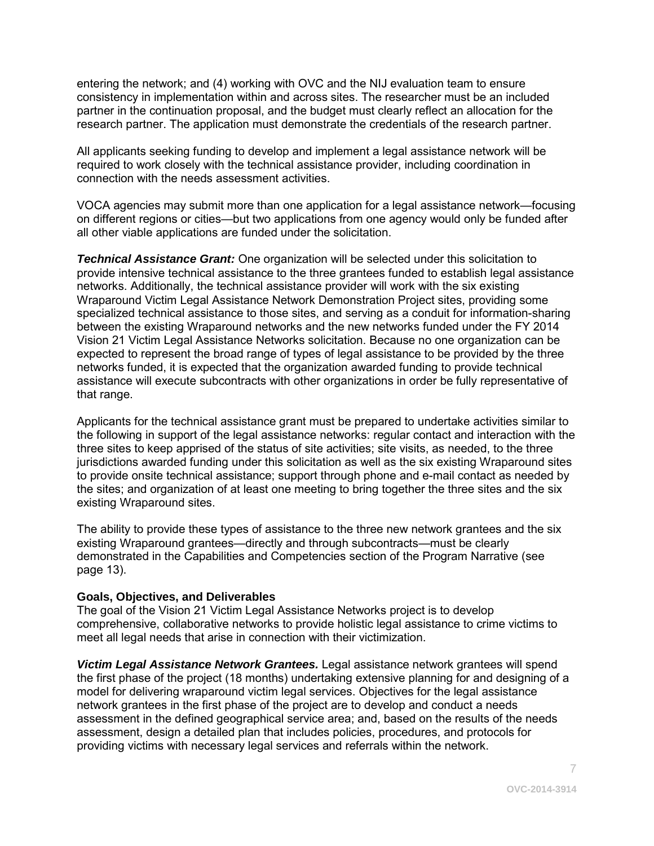entering the network; and (4) working with OVC and the NIJ evaluation team to ensure consistency in implementation within and across sites. The researcher must be an included partner in the continuation proposal, and the budget must clearly reflect an allocation for the research partner. The application must demonstrate the credentials of the research partner.

All applicants seeking funding to develop and implement a legal assistance network will be required to work closely with the technical assistance provider, including coordination in connection with the needs assessment activities.

VOCA agencies may submit more than one application for a legal assistance network—focusing on different regions or cities—but two applications from one agency would only be funded after all other viable applications are funded under the solicitation.

*Technical Assistance Grant:* One organization will be selected under this solicitation to provide intensive technical assistance to the three grantees funded to establish legal assistance networks. Additionally, the technical assistance provider will work with the six existing Wraparound Victim Legal Assistance Network Demonstration Project sites, providing some specialized technical assistance to those sites, and serving as a conduit for information-sharing between the existing Wraparound networks and the new networks funded under the FY 2014 Vision 21 Victim Legal Assistance Networks solicitation. Because no one organization can be expected to represent the broad range of types of legal assistance to be provided by the three networks funded, it is expected that the organization awarded funding to provide technical assistance will execute subcontracts with other organizations in order be fully representative of that range.

Applicants for the technical assistance grant must be prepared to undertake activities similar to the following in support of the legal assistance networks: regular contact and interaction with the three sites to keep apprised of the status of site activities; site visits, as needed, to the three jurisdictions awarded funding under this solicitation as well as the six existing Wraparound sites to provide onsite technical assistance; support through phone and e-mail contact as needed by the sites; and organization of at least one meeting to bring together the three sites and the six existing Wraparound sites.

The ability to provide these types of assistance to the three new network grantees and the six existing Wraparound grantees—directly and through subcontracts—must be clearly demonstrated in the Capabilities and Competencies section of the Program Narrative (see page 13).

#### **Goals, Objectives, and Deliverables**

The goal of the Vision 21 Victim Legal Assistance Networks project is to develop comprehensive, collaborative networks to provide holistic legal assistance to crime victims to meet all legal needs that arise in connection with their victimization.

*Victim Legal Assistance Network Grantees.* Legal assistance network grantees will spend the first phase of the project (18 months) undertaking extensive planning for and designing of a model for delivering wraparound victim legal services. Objectives for the legal assistance network grantees in the first phase of the project are to develop and conduct a needs assessment in the defined geographical service area; and, based on the results of the needs assessment, design a detailed plan that includes policies, procedures, and protocols for providing victims with necessary legal services and referrals within the network.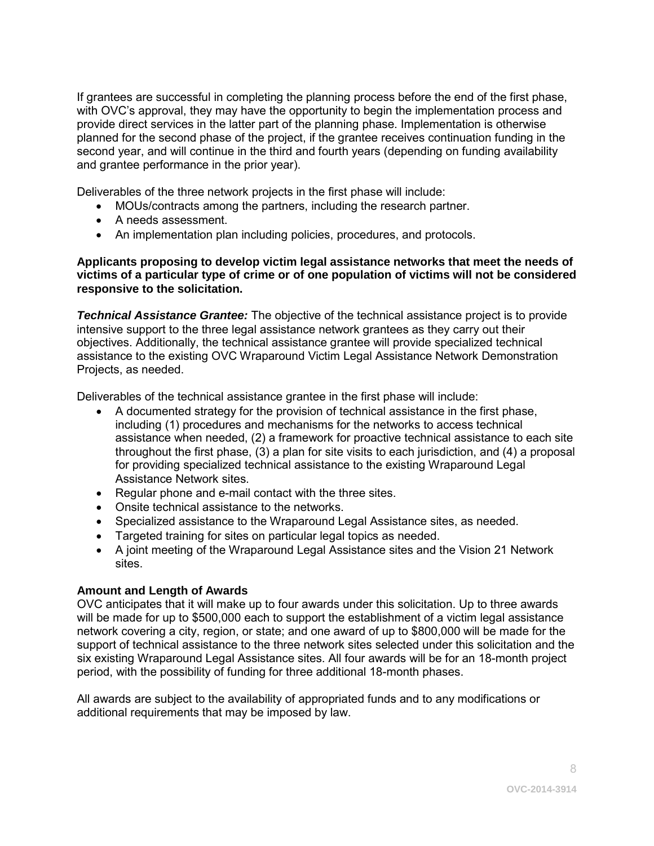If grantees are successful in completing the planning process before the end of the first phase, with OVC's approval, they may have the opportunity to begin the implementation process and provide direct services in the latter part of the planning phase. Implementation is otherwise planned for the second phase of the project, if the grantee receives continuation funding in the second year, and will continue in the third and fourth years (depending on funding availability and grantee performance in the prior year).

Deliverables of the three network projects in the first phase will include:

- MOUs/contracts among the partners, including the research partner.
- A needs assessment.
- An implementation plan including policies, procedures, and protocols.

#### **Applicants proposing to develop victim legal assistance networks that meet the needs of victims of a particular type of crime or of one population of victims will not be considered responsive to the solicitation.**

*Technical Assistance Grantee:* The objective of the technical assistance project is to provide intensive support to the three legal assistance network grantees as they carry out their objectives. Additionally, the technical assistance grantee will provide specialized technical assistance to the existing OVC Wraparound Victim Legal Assistance Network Demonstration Projects, as needed.

Deliverables of the technical assistance grantee in the first phase will include:

- A documented strategy for the provision of technical assistance in the first phase, including (1) procedures and mechanisms for the networks to access technical assistance when needed, (2) a framework for proactive technical assistance to each site throughout the first phase, (3) a plan for site visits to each jurisdiction, and (4) a proposal for providing specialized technical assistance to the existing Wraparound Legal Assistance Network sites.
- Regular phone and e-mail contact with the three sites.
- Onsite technical assistance to the networks.
- Specialized assistance to the Wraparound Legal Assistance sites, as needed.
- Targeted training for sites on particular legal topics as needed.
- A joint meeting of the Wraparound Legal Assistance sites and the Vision 21 Network sites.

#### **Amount and Length of Awards**

OVC anticipates that it will make up to four awards under this solicitation. Up to three awards will be made for up to \$500,000 each to support the establishment of a victim legal assistance network covering a city, region, or state; and one award of up to \$800,000 will be made for the support of technical assistance to the three network sites selected under this solicitation and the six existing Wraparound Legal Assistance sites. All four awards will be for an 18-month project period, with the possibility of funding for three additional 18-month phases.

All awards are subject to the availability of appropriated funds and to any modifications or additional requirements that may be imposed by law.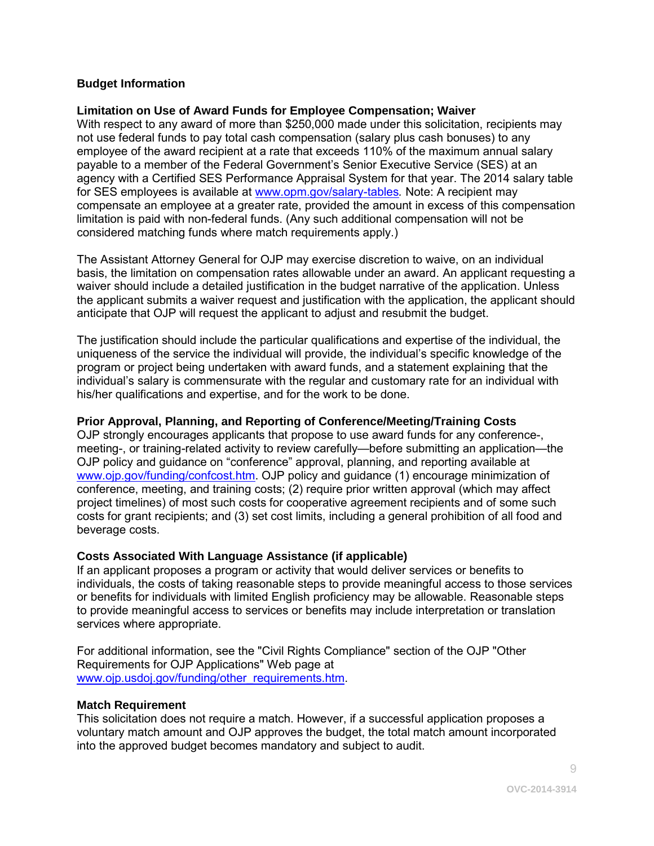#### **Budget Information**

#### **Limitation on Use of Award Funds for Employee Compensation; Waiver**

With respect to any award of more than \$250,000 made under this solicitation, recipients may not use federal funds to pay total cash compensation (salary plus cash bonuses) to any employee of the award recipient at a rate that exceeds 110% of the maximum annual salary payable to a member of the Federal Government's Senior Executive Service (SES) at an agency with a Certified SES Performance Appraisal System for that year. The 2014 salary table for SES employees is available at [www.opm.gov/salary-tables](http://www.opm.gov/policy-data-oversight/pay-leave/salaries-wages/salary-tables/14Tables/exec/html/ES.aspx)*.* Note: A recipient may compensate an employee at a greater rate, provided the amount in excess of this compensation limitation is paid with non-federal funds. (Any such additional compensation will not be considered matching funds where match requirements apply.)

The Assistant Attorney General for OJP may exercise discretion to waive, on an individual basis, the limitation on compensation rates allowable under an award. An applicant requesting a waiver should include a detailed justification in the budget narrative of the application. Unless the applicant submits a waiver request and justification with the application, the applicant should anticipate that OJP will request the applicant to adjust and resubmit the budget.

The justification should include the particular qualifications and expertise of the individual, the uniqueness of the service the individual will provide, the individual's specific knowledge of the program or project being undertaken with award funds, and a statement explaining that the individual's salary is commensurate with the regular and customary rate for an individual with his/her qualifications and expertise, and for the work to be done.

#### **Prior Approval, Planning, and Reporting of Conference/Meeting/Training Costs**

OJP strongly encourages applicants that propose to use award funds for any conference-, meeting-, or training-related activity to review carefully—before submitting an application—the OJP policy and guidance on "conference" approval, planning, and reporting available at [www.ojp.gov/funding/confcost.htm.](http://www.ojp.gov/funding/confcost.htm) OJP policy and guidance (1) encourage minimization of conference, meeting, and training costs; (2) require prior written approval (which may affect project timelines) of most such costs for cooperative agreement recipients and of some such costs for grant recipients; and (3) set cost limits, including a general prohibition of all food and beverage costs.

#### **Costs Associated With Language Assistance (if applicable)**

If an applicant proposes a program or activity that would deliver services or benefits to individuals, the costs of taking reasonable steps to provide meaningful access to those services or benefits for individuals with limited English proficiency may be allowable. Reasonable steps to provide meaningful access to services or benefits may include interpretation or translation services where appropriate.

For additional information, see the "Civil Rights Compliance" section of the OJP "Other Requirements for OJP Applications" Web page at [www.ojp.usdoj.gov/funding/other\\_requirements.htm.](http://www.ojp.usdoj.gov/funding/other_requirements.htm)

#### **Match Requirement**

This solicitation does not require a match. However, if a successful application proposes a voluntary match amount and OJP approves the budget, the total match amount incorporated into the approved budget becomes mandatory and subject to audit.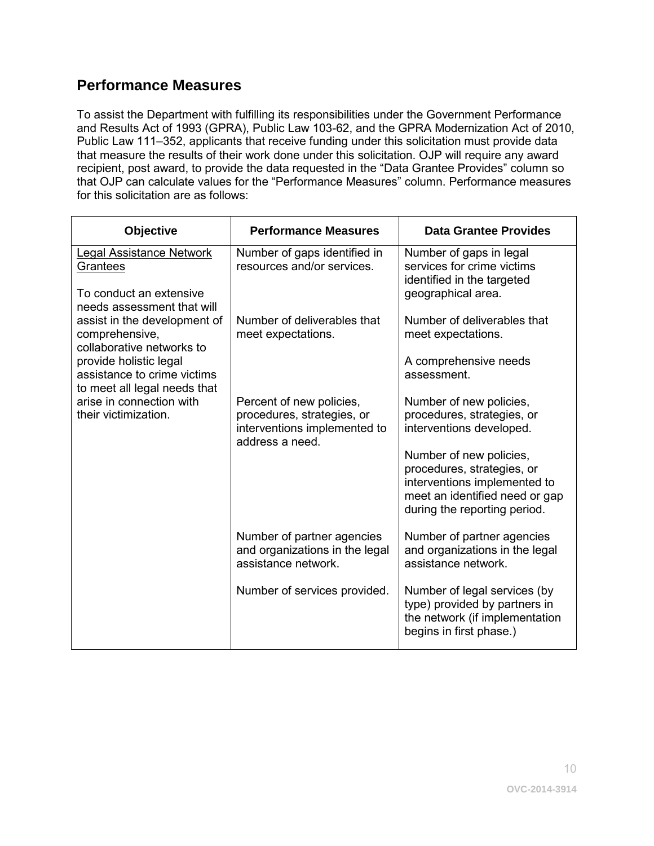## <span id="page-9-0"></span>**Performance Measures**

To assist the Department with fulfilling its responsibilities under the Government Performance and Results Act of 1993 (GPRA), Public Law 103-62, and the GPRA Modernization Act of 2010, Public Law 111–352, applicants that receive funding under this solicitation must provide data that measure the results of their work done under this solicitation. OJP will require any award recipient, post award, to provide the data requested in the "Data Grantee Provides" column so that OJP can calculate values for the "Performance Measures" column. Performance measures for this solicitation are as follows:

| <b>Objective</b>                                                                                     | <b>Performance Measures</b>                                                                               | <b>Data Grantee Provides</b>                                                                                                                            |
|------------------------------------------------------------------------------------------------------|-----------------------------------------------------------------------------------------------------------|---------------------------------------------------------------------------------------------------------------------------------------------------------|
| <b>Legal Assistance Network</b><br>Grantees<br>To conduct an extensive<br>needs assessment that will | Number of gaps identified in<br>resources and/or services.                                                | Number of gaps in legal<br>services for crime victims<br>identified in the targeted<br>geographical area.                                               |
| assist in the development of<br>comprehensive,<br>collaborative networks to                          | Number of deliverables that<br>meet expectations.                                                         | Number of deliverables that<br>meet expectations.                                                                                                       |
| provide holistic legal<br>assistance to crime victims<br>to meet all legal needs that                |                                                                                                           | A comprehensive needs<br>assessment.                                                                                                                    |
| arise in connection with<br>their victimization.                                                     | Percent of new policies,<br>procedures, strategies, or<br>interventions implemented to<br>address a need. | Number of new policies,<br>procedures, strategies, or<br>interventions developed.                                                                       |
|                                                                                                      |                                                                                                           | Number of new policies,<br>procedures, strategies, or<br>interventions implemented to<br>meet an identified need or gap<br>during the reporting period. |
|                                                                                                      | Number of partner agencies<br>and organizations in the legal<br>assistance network.                       | Number of partner agencies<br>and organizations in the legal<br>assistance network.                                                                     |
|                                                                                                      | Number of services provided.                                                                              | Number of legal services (by<br>type) provided by partners in<br>the network (if implementation<br>begins in first phase.)                              |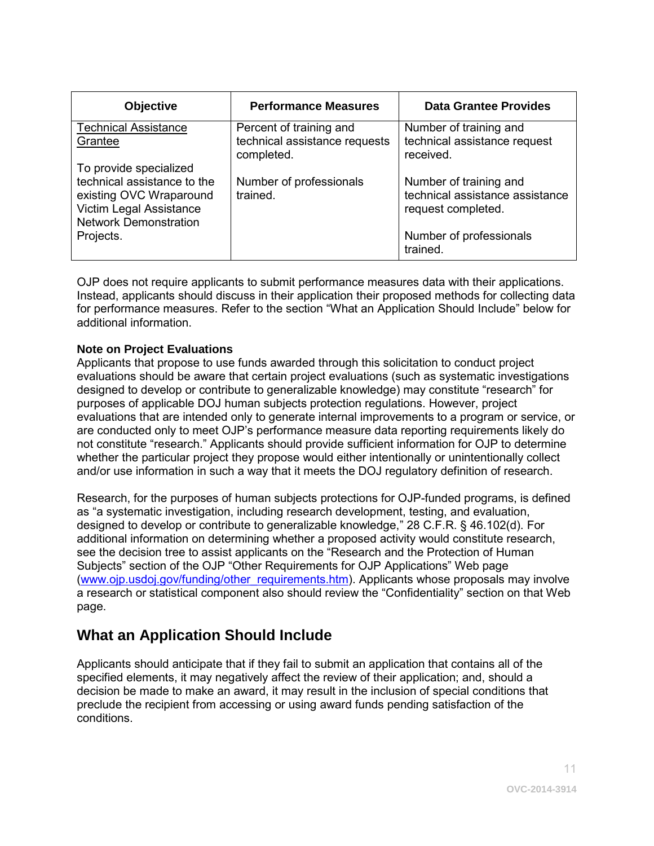| <b>Objective</b>                                                                                                                                         | <b>Performance Measures</b>                                            | <b>Data Grantee Provides</b>                                                                                           |
|----------------------------------------------------------------------------------------------------------------------------------------------------------|------------------------------------------------------------------------|------------------------------------------------------------------------------------------------------------------------|
| <b>Technical Assistance</b><br>Grantee                                                                                                                   | Percent of training and<br>technical assistance requests<br>completed. | Number of training and<br>technical assistance request<br>received.                                                    |
| To provide specialized<br>technical assistance to the<br>existing OVC Wraparound<br>Victim Legal Assistance<br><b>Network Demonstration</b><br>Projects. | Number of professionals<br>trained.                                    | Number of training and<br>technical assistance assistance<br>request completed.<br>Number of professionals<br>trained. |

OJP does not require applicants to submit performance measures data with their applications. Instead, applicants should discuss in their application their proposed methods for collecting data for performance measures. Refer to the section "What an Application Should Include" below for additional information.

#### **Note on Project Evaluations**

Applicants that propose to use funds awarded through this solicitation to conduct project evaluations should be aware that certain project evaluations (such as systematic investigations designed to develop or contribute to generalizable knowledge) may constitute "research" for purposes of applicable DOJ human subjects protection regulations. However, project evaluations that are intended only to generate internal improvements to a program or service, or are conducted only to meet OJP's performance measure data reporting requirements likely do not constitute "research." Applicants should provide sufficient information for OJP to determine whether the particular project they propose would either intentionally or unintentionally collect and/or use information in such a way that it meets the DOJ regulatory definition of research.

Research, for the purposes of human subjects protections for OJP-funded programs, is defined as "a systematic investigation, including research development, testing, and evaluation, designed to develop or contribute to generalizable knowledge," 28 C.F.R. § 46.102(d). For additional information on determining whether a proposed activity would constitute research, see the decision tree to assist applicants on the "Research and the Protection of Human Subjects" section of the OJP "Other Requirements for OJP Applications" Web page [\(www.ojp.usdoj.gov/funding/other\\_requirements.htm\)](http://www.ojp.usdoj.gov/funding/other_requirements.htm). Applicants whose proposals may involve a research or statistical component also should review the "Confidentiality" section on that Web page.

## <span id="page-10-0"></span>**What an Application Should Include**

Applicants should anticipate that if they fail to submit an application that contains all of the specified elements, it may negatively affect the review of their application; and, should a decision be made to make an award, it may result in the inclusion of special conditions that preclude the recipient from accessing or using award funds pending satisfaction of the conditions.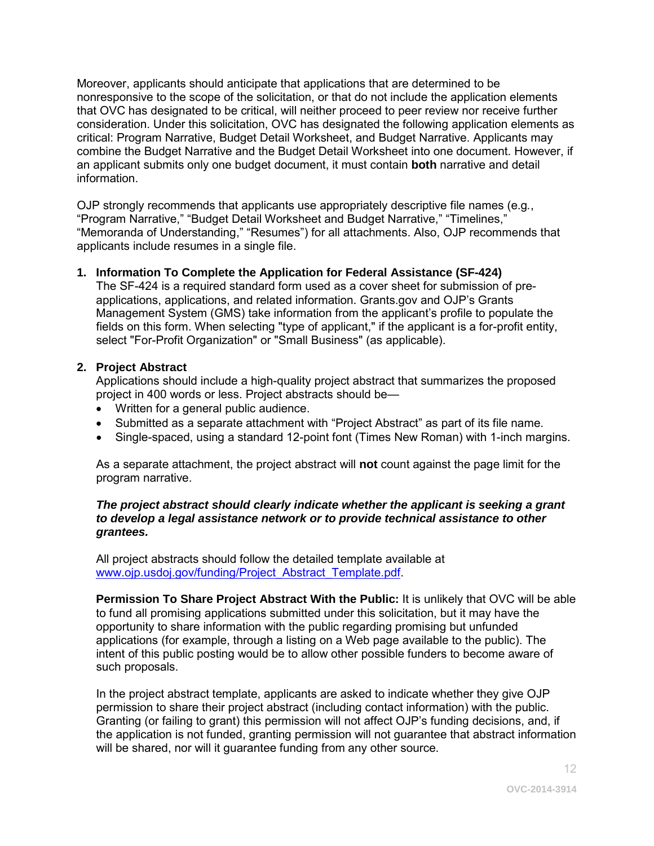Moreover, applicants should anticipate that applications that are determined to be nonresponsive to the scope of the solicitation, or that do not include the application elements that OVC has designated to be critical, will neither proceed to peer review nor receive further consideration. Under this solicitation, OVC has designated the following application elements as critical: Program Narrative, Budget Detail Worksheet, and Budget Narrative. Applicants may combine the Budget Narrative and the Budget Detail Worksheet into one document. However, if an applicant submits only one budget document, it must contain **both** narrative and detail information.

OJP strongly recommends that applicants use appropriately descriptive file names (e.g*.*, "Program Narrative," "Budget Detail Worksheet and Budget Narrative," "Timelines," "Memoranda of Understanding," "Resumes") for all attachments. Also, OJP recommends that applicants include resumes in a single file.

#### <span id="page-11-0"></span>**1. Information To Complete the Application for Federal Assistance (SF-424)**

The SF-424 is a required standard form used as a cover sheet for submission of preapplications, applications, and related information. Grants.gov and OJP's Grants Management System (GMS) take information from the applicant's profile to populate the fields on this form. When selecting "type of applicant," if the applicant is a for-profit entity, select "For-Profit Organization" or "Small Business" (as applicable).

#### <span id="page-11-1"></span>**2. Project Abstract**

Applications should include a high-quality project abstract that summarizes the proposed project in 400 words or less. Project abstracts should be—

- Written for a general public audience.
- Submitted as a separate attachment with "Project Abstract" as part of its file name.
- Single-spaced, using a standard 12-point font (Times New Roman) with 1-inch margins.

As a separate attachment, the project abstract will **not** count against the page limit for the program narrative.

#### *The project abstract should clearly indicate whether the applicant is seeking a grant to develop a legal assistance network or to provide technical assistance to other grantees.*

All project abstracts should follow the detailed template available at [www.ojp.usdoj.gov/funding/Project\\_Abstract\\_Template.pdf.](http://www.ojp.usdoj.gov/funding/Project_Abstract_Template.pdf)

**Permission To Share Project Abstract With the Public:** It is unlikely that OVC will be able to fund all promising applications submitted under this solicitation, but it may have the opportunity to share information with the public regarding promising but unfunded applications (for example, through a listing on a Web page available to the public). The intent of this public posting would be to allow other possible funders to become aware of such proposals.

In the project abstract template, applicants are asked to indicate whether they give OJP permission to share their project abstract (including contact information) with the public. Granting (or failing to grant) this permission will not affect OJP's funding decisions, and, if the application is not funded, granting permission will not guarantee that abstract information will be shared, nor will it guarantee funding from any other source.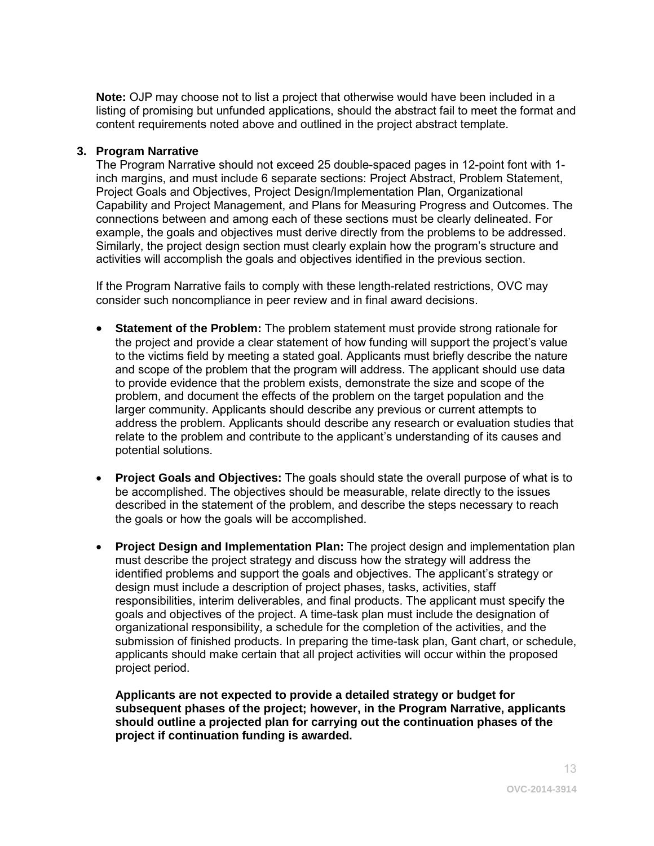**Note:** OJP may choose not to list a project that otherwise would have been included in a listing of promising but unfunded applications, should the abstract fail to meet the format and content requirements noted above and outlined in the project abstract template.

#### <span id="page-12-0"></span>**3. Program Narrative**

The Program Narrative should not exceed 25 double-spaced pages in 12-point font with 1 inch margins, and must include 6 separate sections: Project Abstract, Problem Statement, Project Goals and Objectives, Project Design/Implementation Plan, Organizational Capability and Project Management, and Plans for Measuring Progress and Outcomes. The connections between and among each of these sections must be clearly delineated. For example, the goals and objectives must derive directly from the problems to be addressed. Similarly, the project design section must clearly explain how the program's structure and activities will accomplish the goals and objectives identified in the previous section.

If the Program Narrative fails to comply with these length-related restrictions, OVC may consider such noncompliance in peer review and in final award decisions.

- **Statement of the Problem:** The problem statement must provide strong rationale for the project and provide a clear statement of how funding will support the project's value to the victims field by meeting a stated goal. Applicants must briefly describe the nature and scope of the problem that the program will address. The applicant should use data to provide evidence that the problem exists, demonstrate the size and scope of the problem, and document the effects of the problem on the target population and the larger community. Applicants should describe any previous or current attempts to address the problem. Applicants should describe any research or evaluation studies that relate to the problem and contribute to the applicant's understanding of its causes and potential solutions.
- **Project Goals and Objectives:** The goals should state the overall purpose of what is to be accomplished. The objectives should be measurable, relate directly to the issues described in the statement of the problem, and describe the steps necessary to reach the goals or how the goals will be accomplished.
- **Project Design and Implementation Plan:** The project design and implementation plan must describe the project strategy and discuss how the strategy will address the identified problems and support the goals and objectives. The applicant's strategy or design must include a description of project phases, tasks, activities, staff responsibilities, interim deliverables, and final products. The applicant must specify the goals and objectives of the project. A time-task plan must include the designation of organizational responsibility, a schedule for the completion of the activities, and the submission of finished products. In preparing the time-task plan, Gant chart, or schedule, applicants should make certain that all project activities will occur within the proposed project period.

**Applicants are not expected to provide a detailed strategy or budget for subsequent phases of the project; however, in the Program Narrative, applicants should outline a projected plan for carrying out the continuation phases of the project if continuation funding is awarded.**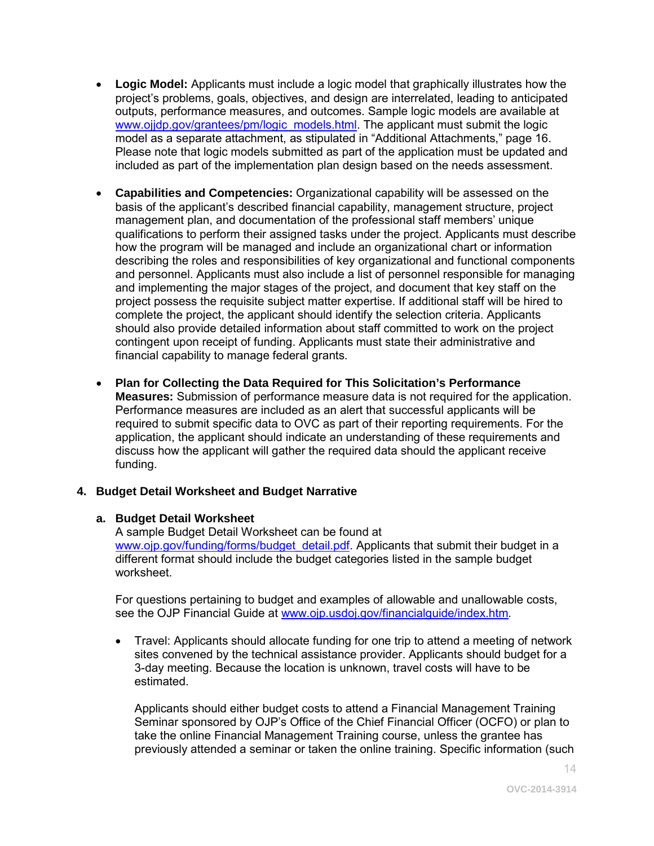- **Logic Model:** Applicants must include a logic model that graphically illustrates how the project's problems, goals, objectives, and design are interrelated, leading to anticipated outputs, performance measures, and outcomes. Sample logic models are available at [www.ojjdp.gov/grantees/pm/logic\\_models.html.](http://www.ojjdp.gov/grantees/pm/logic_models.html) The applicant must submit the logic model as a separate attachment, as stipulated in "Additional Attachments," page 16. Please note that logic models submitted as part of the application must be updated and included as part of the implementation plan design based on the needs assessment.
- **Capabilities and Competencies:** Organizational capability will be assessed on the basis of the applicant's described financial capability, management structure, project management plan, and documentation of the professional staff members' unique qualifications to perform their assigned tasks under the project. Applicants must describe how the program will be managed and include an organizational chart or information describing the roles and responsibilities of key organizational and functional components and personnel. Applicants must also include a list of personnel responsible for managing and implementing the major stages of the project, and document that key staff on the project possess the requisite subject matter expertise. If additional staff will be hired to complete the project, the applicant should identify the selection criteria. Applicants should also provide detailed information about staff committed to work on the project contingent upon receipt of funding. Applicants must state their administrative and financial capability to manage federal grants.
- **Plan for Collecting the Data Required for This Solicitation's Performance Measures:** Submission of performance measure data is not required for the application. Performance measures are included as an alert that successful applicants will be required to submit specific data to OVC as part of their reporting requirements. For the application, the applicant should indicate an understanding of these requirements and discuss how the applicant will gather the required data should the applicant receive funding.

#### <span id="page-13-0"></span>**4. Budget Detail Worksheet and Budget Narrative**

#### **a. Budget Detail Worksheet**

A sample Budget Detail Worksheet can be found at [www.ojp.gov/funding/forms/budget\\_detail.pdf.](http://www.ojp.gov/funding/forms/budget_detail.pdf) Applicants that submit their budget in a different format should include the budget categories listed in the sample budget worksheet.

For questions pertaining to budget and examples of allowable and unallowable costs, see the OJP Financial Guide at [www.ojp.usdoj.gov/financialguide/index.htm](http://www.ojp.usdoj.gov/financialguide/index.htm)*.*

• Travel: Applicants should allocate funding for one trip to attend a meeting of network sites convened by the technical assistance provider. Applicants should budget for a 3-day meeting. Because the location is unknown, travel costs will have to be estimated.

Applicants should either budget costs to attend a Financial Management Training Seminar sponsored by OJP's Office of the Chief Financial Officer (OCFO) or plan to take the online Financial Management Training course, unless the grantee has previously attended a seminar or taken the online training. Specific information (such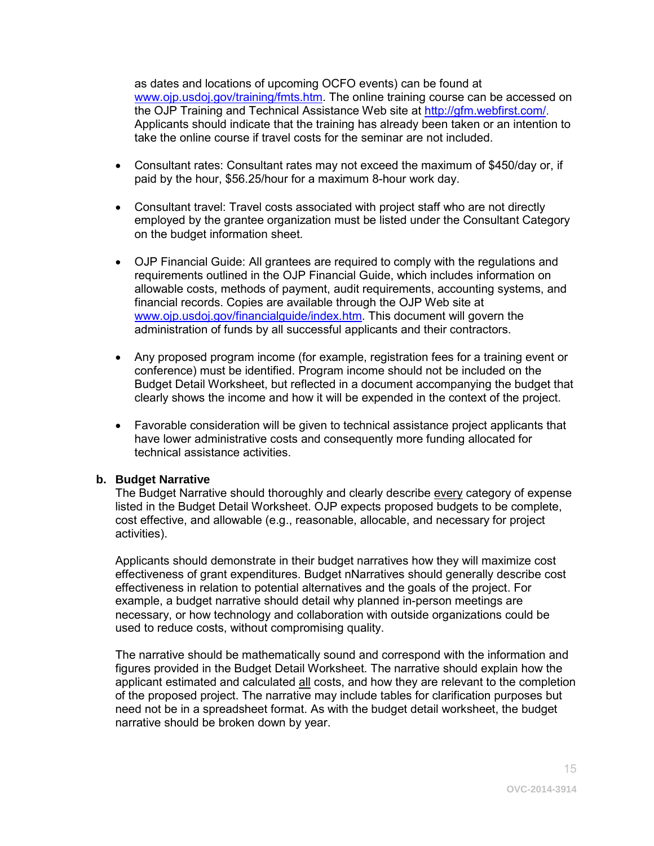as dates and locations of upcoming OCFO events) can be found at [www.ojp.usdoj.gov/training/fmts.htm.](http://www.ojp.usdoj.gov/training/fmts.htm) The online training course can be accessed on the OJP Training and Technical Assistance Web site at [http://gfm.webfirst.com/.](http://gfm.webfirst.com/) Applicants should indicate that the training has already been taken or an intention to take the online course if travel costs for the seminar are not included.

- Consultant rates: Consultant rates may not exceed the maximum of \$450/day or, if paid by the hour, \$56.25/hour for a maximum 8-hour work day.
- Consultant travel: Travel costs associated with project staff who are not directly employed by the grantee organization must be listed under the Consultant Category on the budget information sheet.
- OJP Financial Guide: All grantees are required to comply with the regulations and requirements outlined in the OJP Financial Guide, which includes information on allowable costs, methods of payment, audit requirements, accounting systems, and financial records. Copies are available through the OJP Web site at [www.ojp.usdoj.gov/financialguide/index.htm.](http://www.ojp.usdoj.gov/financialguide/index.htm) This document will govern the administration of funds by all successful applicants and their contractors.
- Any proposed program income (for example, registration fees for a training event or conference) must be identified. Program income should not be included on the Budget Detail Worksheet, but reflected in a document accompanying the budget that clearly shows the income and how it will be expended in the context of the project.
- Favorable consideration will be given to technical assistance project applicants that have lower administrative costs and consequently more funding allocated for technical assistance activities.

#### **b. Budget Narrative**

The Budget Narrative should thoroughly and clearly describe every category of expense listed in the Budget Detail Worksheet. OJP expects proposed budgets to be complete, cost effective, and allowable (e.g., reasonable, allocable, and necessary for project activities).

Applicants should demonstrate in their budget narratives how they will maximize cost effectiveness of grant expenditures. Budget nNarratives should generally describe cost effectiveness in relation to potential alternatives and the goals of the project. For example, a budget narrative should detail why planned in-person meetings are necessary, or how technology and collaboration with outside organizations could be used to reduce costs, without compromising quality.

The narrative should be mathematically sound and correspond with the information and figures provided in the Budget Detail Worksheet. The narrative should explain how the applicant estimated and calculated all costs, and how they are relevant to the completion of the proposed project. The narrative may include tables for clarification purposes but need not be in a spreadsheet format. As with the budget detail worksheet, the budget narrative should be broken down by year.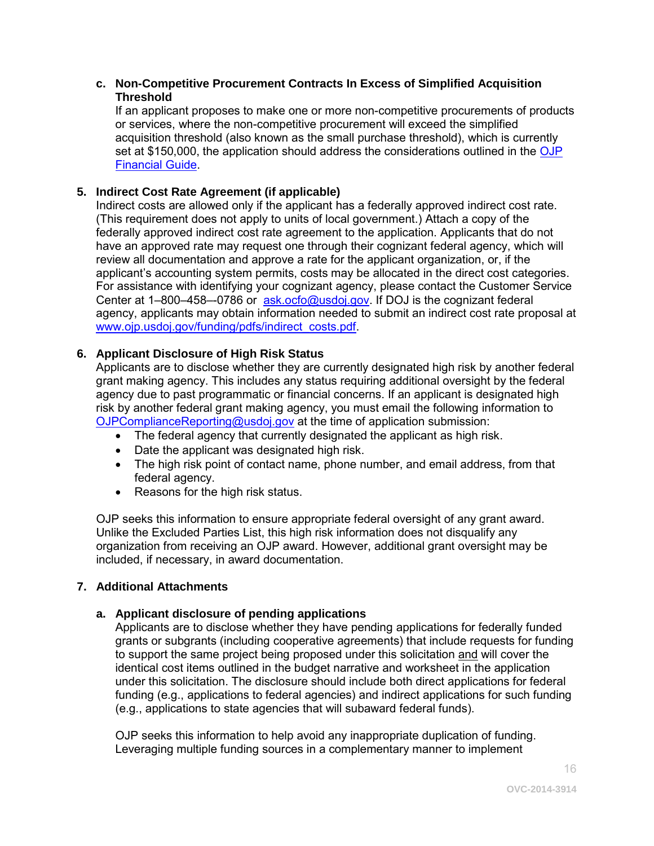#### **c. Non-Competitive Procurement Contracts In Excess of Simplified Acquisition Threshold**

If an applicant proposes to make one or more non-competitive procurements of products or services, where the non-competitive procurement will exceed the simplified acquisition threshold (also known as the small purchase threshold), which is currently set at \$150,000, the application should address the considerations outlined in the OJP [Financial Guide.](http://www.ojp.usdoj.gov/financialguide/index.htm)

#### <span id="page-15-0"></span>**5. Indirect Cost Rate Agreement (if applicable)**

Indirect costs are allowed only if the applicant has a federally approved indirect cost rate. (This requirement does not apply to units of local government.) Attach a copy of the federally approved indirect cost rate agreement to the application. Applicants that do not have an approved rate may request one through their cognizant federal agency, which will review all documentation and approve a rate for the applicant organization, or, if the applicant's accounting system permits, costs may be allocated in the direct cost categories. For assistance with identifying your cognizant agency, please contact the Customer Service Center at 1-800-458--0786 or [ask.ocfo@usdoj.gov.](mailto:ask.ocfo@usdoj.gov) If DOJ is the cognizant federal agency, applicants may obtain information needed to submit an indirect cost rate proposal at [www.ojp.usdoj.gov/funding/pdfs/indirect\\_costs.pdf.](http://www.ojp.usdoj.gov/funding/pdfs/indirect_costs.pdf)

#### <span id="page-15-1"></span>**6. Applicant Disclosure of High Risk Status**

Applicants are to disclose whether they are currently designated high risk by another federal grant making agency. This includes any status requiring additional oversight by the federal agency due to past programmatic or financial concerns. If an applicant is designated high risk by another federal grant making agency, you must email the following information to [OJPComplianceReporting@usdoj.gov](mailto:OJPComplianceReporting@usdoj.gov) at the time of application submission:

- The federal agency that currently designated the applicant as high risk.
- Date the applicant was designated high risk.
- The high risk point of contact name, phone number, and email address, from that federal agency.
- Reasons for the high risk status.

OJP seeks this information to ensure appropriate federal oversight of any grant award. Unlike the Excluded Parties List, this high risk information does not disqualify any organization from receiving an OJP award. However, additional grant oversight may be included, if necessary, in award documentation.

#### <span id="page-15-2"></span>**7. Additional Attachments**

#### **a. Applicant disclosure of pending applications**

Applicants are to disclose whether they have pending applications for federally funded grants or subgrants (including cooperative agreements) that include requests for funding to support the same project being proposed under this solicitation and will cover the identical cost items outlined in the budget narrative and worksheet in the application under this solicitation. The disclosure should include both direct applications for federal funding (e.g., applications to federal agencies) and indirect applications for such funding (e.g., applications to state agencies that will subaward federal funds).

OJP seeks this information to help avoid any inappropriate duplication of funding. Leveraging multiple funding sources in a complementary manner to implement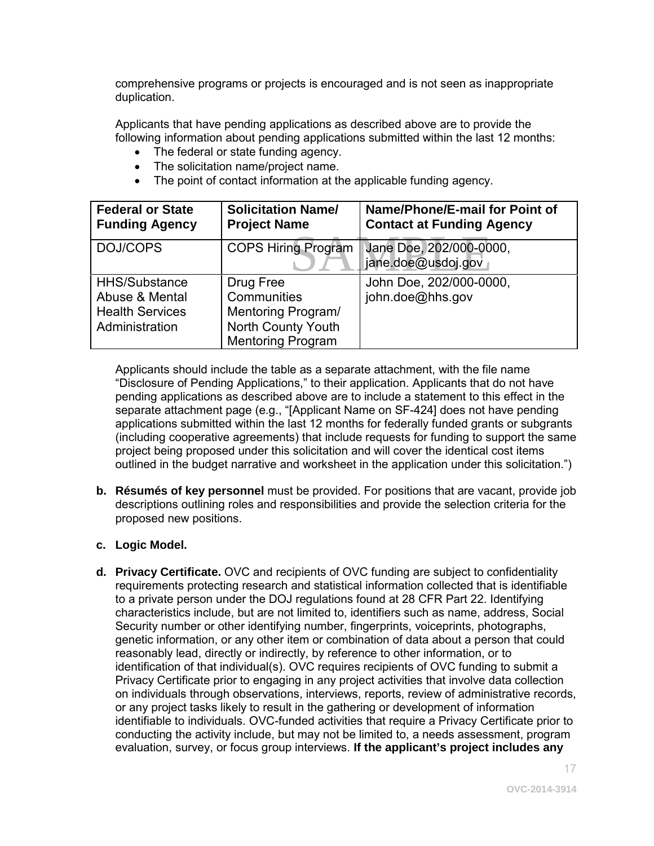comprehensive programs or projects is encouraged and is not seen as inappropriate duplication.

Applicants that have pending applications as described above are to provide the following information about pending applications submitted within the last 12 months:

- The federal or state funding agency.
- The solicitation name/project name.
- The point of contact information at the applicable funding agency.

| <b>Federal or State</b><br><b>Funding Agency</b>                                   | <b>Solicitation Name/</b><br><b>Project Name</b>                                                        | Name/Phone/E-mail for Point of<br><b>Contact at Funding Agency</b> |
|------------------------------------------------------------------------------------|---------------------------------------------------------------------------------------------------------|--------------------------------------------------------------------|
| DOJ/COPS                                                                           | <b>COPS Hiring Program</b>                                                                              | Jane Doe, 202/000-0000,<br>jane.doe@usdoj.gov                      |
| <b>HHS/Substance</b><br>Abuse & Mental<br><b>Health Services</b><br>Administration | Drug Free<br>Communities<br><b>Mentoring Program/</b><br>North County Youth<br><b>Mentoring Program</b> | John Doe, 202/000-0000,<br>john.doe@hhs.gov                        |

Applicants should include the table as a separate attachment, with the file name "Disclosure of Pending Applications," to their application. Applicants that do not have pending applications as described above are to include a statement to this effect in the separate attachment page (e.g., "[Applicant Name on SF-424] does not have pending applications submitted within the last 12 months for federally funded grants or subgrants (including cooperative agreements) that include requests for funding to support the same project being proposed under this solicitation and will cover the identical cost items outlined in the budget narrative and worksheet in the application under this solicitation.")

**b. Résumés of key personnel** must be provided. For positions that are vacant, provide job descriptions outlining roles and responsibilities and provide the selection criteria for the proposed new positions.

#### **c. Logic Model.**

**d. Privacy Certificate.** OVC and recipients of OVC funding are subject to confidentiality requirements protecting research and statistical information collected that is identifiable to a private person under the DOJ regulations found at 28 CFR Part 22. Identifying characteristics include, but are not limited to, identifiers such as name, address, Social Security number or other identifying number, fingerprints, voiceprints, photographs, genetic information, or any other item or combination of data about a person that could reasonably lead, directly or indirectly, by reference to other information, or to identification of that individual(s). OVC requires recipients of OVC funding to submit a Privacy Certificate prior to engaging in any project activities that involve data collection on individuals through observations, interviews, reports, review of administrative records, or any project tasks likely to result in the gathering or development of information identifiable to individuals. OVC-funded activities that require a Privacy Certificate prior to conducting the activity include, but may not be limited to, a needs assessment, program evaluation, survey, or focus group interviews. **If the applicant's project includes any**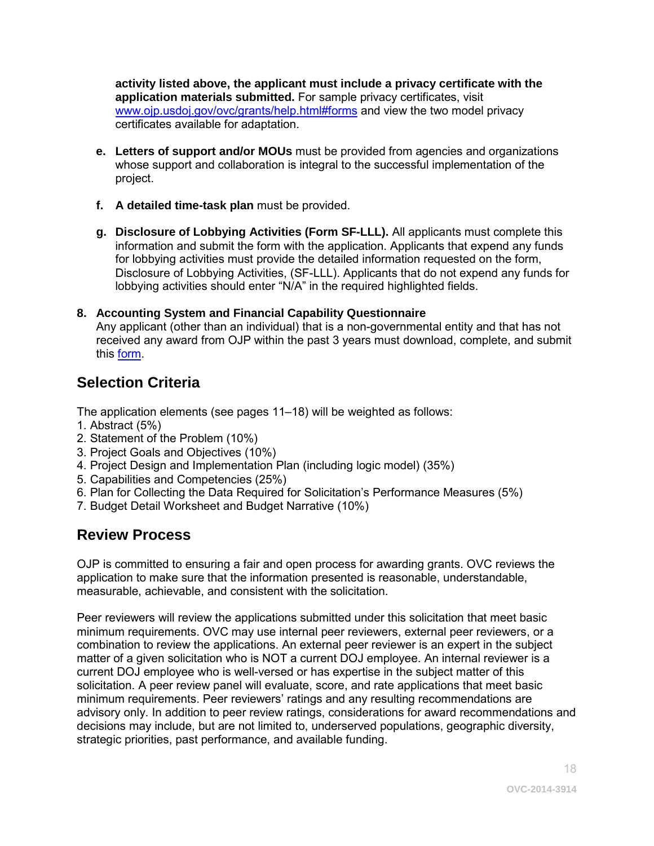**activity listed above, the applicant must include a privacy certificate with the application materials submitted.** For sample privacy certificates, visit [www.ojp.usdoj.gov/ovc/grants/help.html#forms](http://www.ojp.usdoj.gov/ovc/grants/help.html%23forms) and view the two model privacy certificates available for adaptation.

- **e. Letters of support and/or MOUs** must be provided from agencies and organizations whose support and collaboration is integral to the successful implementation of the project.
- **f. A detailed time-task plan** must be provided.
- **g. Disclosure of Lobbying Activities (Form SF-LLL).** All applicants must complete this information and submit the form with the application. Applicants that expend any funds for lobbying activities must provide the detailed information requested on the form, Disclosure of Lobbying Activities, (SF-LLL). Applicants that do not expend any funds for lobbying activities should enter "N/A" in the required highlighted fields.

#### <span id="page-17-0"></span>**8. Accounting System and Financial Capability Questionnaire**

Any applicant (other than an individual) that is a non-governmental entity and that has not received any award from OJP within the past 3 years must download, complete, and submit this [form.](http://www.ojp.usdoj.gov/funding/forms/financial_capability.pdf)

## **Selection Criteria**

The application elements (see pages 11–18) will be weighted as follows:

- 1. Abstract (5%)
- 2. Statement of the Problem (10%)
- 3. Project Goals and Objectives (10%)
- 4. Project Design and Implementation Plan (including logic model) (35%)
- 5. Capabilities and Competencies (25%)
- 6. Plan for Collecting the Data Required for Solicitation's Performance Measures (5%)
- 7. Budget Detail Worksheet and Budget Narrative (10%)

### <span id="page-17-1"></span>**Review Process**

OJP is committed to ensuring a fair and open process for awarding grants. OVC reviews the application to make sure that the information presented is reasonable, understandable, measurable, achievable, and consistent with the solicitation.

Peer reviewers will review the applications submitted under this solicitation that meet basic minimum requirements. OVC may use internal peer reviewers, external peer reviewers, or a combination to review the applications. An external peer reviewer is an expert in the subject matter of a given solicitation who is NOT a current DOJ employee. An internal reviewer is a current DOJ employee who is well-versed or has expertise in the subject matter of this solicitation. A peer review panel will evaluate, score, and rate applications that meet basic minimum requirements. Peer reviewers' ratings and any resulting recommendations are advisory only. In addition to peer review ratings, considerations for award recommendations and decisions may include, but are not limited to, underserved populations, geographic diversity, strategic priorities, past performance, and available funding.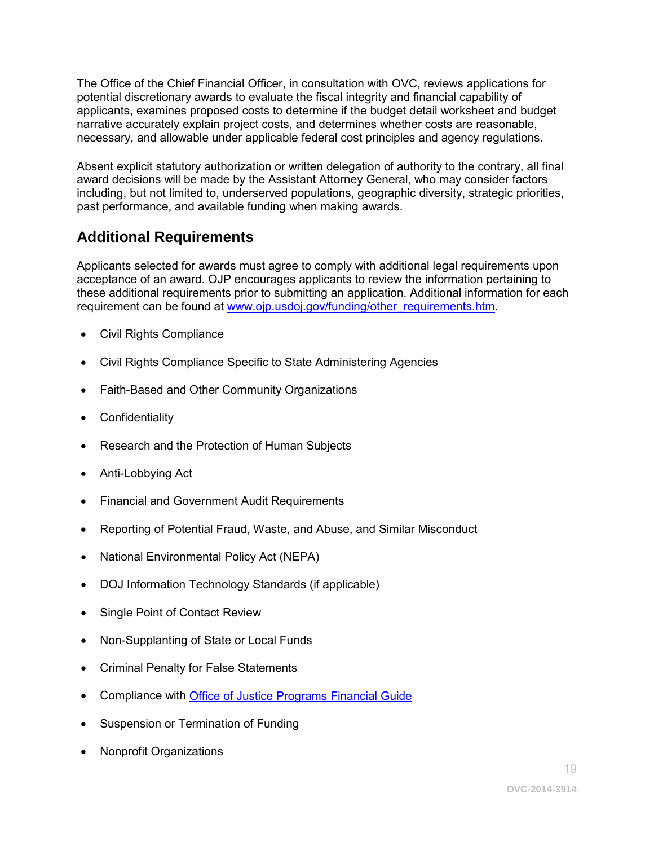The Office of the Chief Financial Officer, in consultation with OVC, reviews applications for potential discretionary awards to evaluate the fiscal integrity and financial capability of applicants, examines proposed costs to determine if the budget detail worksheet and budget narrative accurately explain project costs, and determines whether costs are reasonable, necessary, and allowable under applicable federal cost principles and agency regulations.

Absent explicit statutory authorization or written delegation of authority to the contrary, all final award decisions will be made by the Assistant Attorney General, who may consider factors including, but not limited to, underserved populations, geographic diversity, strategic priorities, past performance, and available funding when making awards.

## <span id="page-18-0"></span>**Additional Requirements**

Applicants selected for awards must agree to comply with additional legal requirements upon acceptance of an award. OJP encourages applicants to review the information pertaining to these additional requirements prior to submitting an application. Additional information for each requirement can be found at [www.ojp.usdoj.gov/funding/other\\_requirements.htm.](http://www.ojp.usdoj.gov/funding/other_requirements.htm)

- Civil Rights Compliance
- Civil Rights Compliance Specific to State Administering Agencies
- Faith-Based and Other Community Organizations
- Confidentiality
- Research and the Protection of Human Subjects
- Anti-Lobbying Act
- Financial and Government Audit Requirements
- Reporting of Potential Fraud, Waste, and Abuse, and Similar Misconduct
- National Environmental Policy Act (NEPA)
- DOJ Information Technology Standards (if applicable)
- Single Point of Contact Review
- Non-Supplanting of State or Local Funds
- Criminal Penalty for False Statements
- Compliance with [Office of Justice Programs Financial Guide](http://www.ojp.usdoj.gov/financialguide/index.htm)
- Suspension or Termination of Funding
- Nonprofit Organizations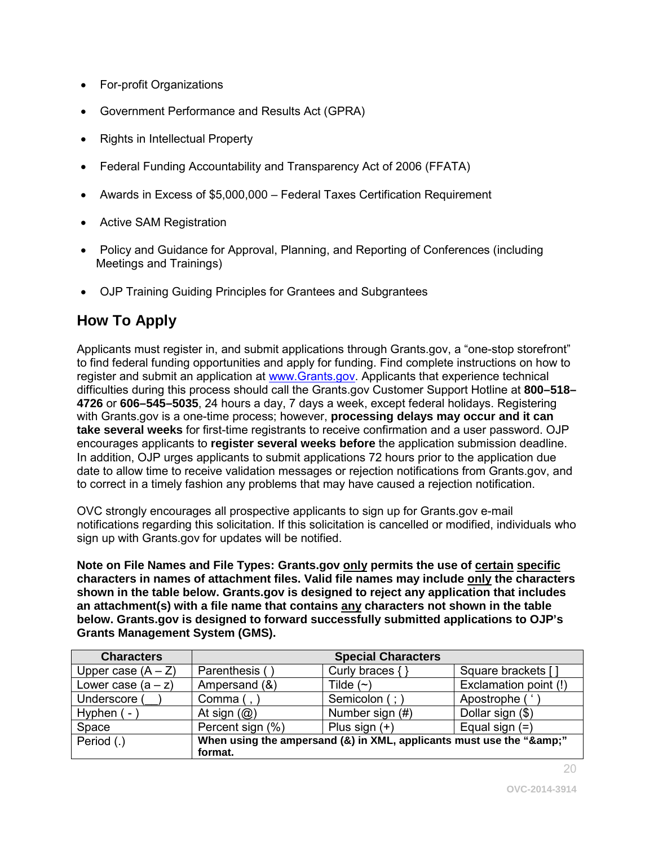- <span id="page-19-0"></span>• For-profit Organizations
- Government Performance and Results Act (GPRA)
- Rights in Intellectual Property
- Federal Funding Accountability and Transparency Act of 2006 (FFATA)
- Awards in Excess of \$5,000,000 Federal Taxes Certification Requirement
- Active SAM Registration
- Policy and Guidance for Approval, Planning, and Reporting of Conferences (including Meetings and Trainings)
- OJP Training Guiding Principles for Grantees and Subgrantees

## **How To Apply**

Applicants must register in, and submit applications through Grants.gov, a "one-stop storefront" to find federal funding opportunities and apply for funding. Find complete instructions on how to register and submit an application at [www.Grants.gov.](http://www.grants.gov/) Applicants that experience technical difficulties during this process should call the Grants.gov Customer Support Hotline at **800–518– 4726** or **606–545–5035**, 24 hours a day, 7 days a week, except federal holidays. Registering with Grants.gov is a one-time process; however, **processing delays may occur and it can take several weeks** for first-time registrants to receive confirmation and a user password. OJP encourages applicants to **register several weeks before** the application submission deadline. In addition, OJP urges applicants to submit applications 72 hours prior to the application due date to allow time to receive validation messages or rejection notifications from Grants.gov, and to correct in a timely fashion any problems that may have caused a rejection notification.

OVC strongly encourages all prospective applicants to sign up for Grants.gov e-mail notifications regarding this solicitation. If this solicitation is cancelled or modified, individuals who sign up with Grants.gov for updates will be notified.

**Note on File Names and File Types: Grants.gov only permits the use of certain specific characters in names of attachment files. Valid file names may include only the characters shown in the table below. Grants.gov is designed to reject any application that includes an attachment(s) with a file name that contains any characters not shown in the table below. Grants.gov is designed to forward successfully submitted applications to OJP's Grants Management System (GMS).**

| <b>Characters</b>    | <b>Special Characters</b>                                        |                 |                       |
|----------------------|------------------------------------------------------------------|-----------------|-----------------------|
| Upper case $(A - Z)$ | Parenthesis (                                                    | Curly braces {  | Square brackets [     |
| Lower case $(a - z)$ | Ampersand (&)                                                    | Tilde $(\sim)$  | Exclamation point (!) |
| Underscore (         | Comma $($ , $)$                                                  | Semicolon (; )  | Apostrophe (          |
| Hyphen (-            | At sign $(\mathcal{Q})$                                          | Number sign (#) | Dollar sign (\$)      |
| Space                | Percent sign (%)                                                 | Plus sign $(+)$ | Equal sign $(=)$      |
| Period (.)           | When using the ampersand (&) in XML, applicants must use the "&" |                 |                       |
|                      | format.                                                          |                 |                       |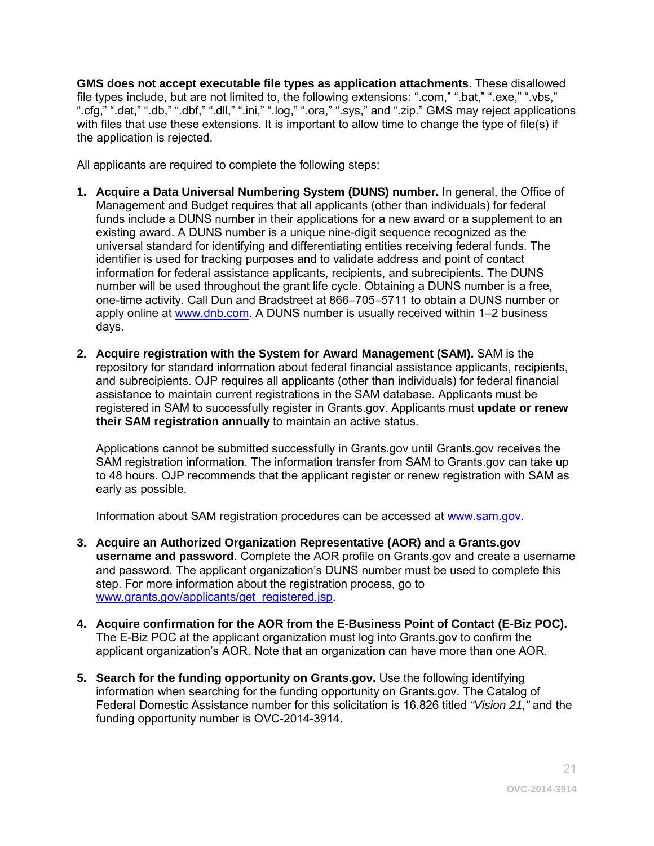**GMS does not accept executable file types as application attachments**. These disallowed file types include, but are not limited to, the following extensions: ".com," ".bat," ".exe," ".vbs," ".cfg," ".dat," ".db," ".dbf," ".dll," ".ini," ".log," ".ora," ".sys," and ".zip." GMS may reject applications with files that use these extensions. It is important to allow time to change the type of file(s) if the application is rejected.

All applicants are required to complete the following steps:

- **1. Acquire a Data Universal Numbering System (DUNS) number.** In general, the Office of Management and Budget requires that all applicants (other than individuals) for federal funds include a DUNS number in their applications for a new award or a supplement to an existing award. A DUNS number is a unique nine-digit sequence recognized as the universal standard for identifying and differentiating entities receiving federal funds. The identifier is used for tracking purposes and to validate address and point of contact information for federal assistance applicants, recipients, and subrecipients. The DUNS number will be used throughout the grant life cycle. Obtaining a DUNS number is a free, one-time activity. Call Dun and Bradstreet at 866–705–5711 to obtain a DUNS number or apply online at [www.dnb.com.](http://www.dnb.com/) A DUNS number is usually received within 1–2 business days.
- **2. Acquire registration with the System for Award Management (SAM).** SAM is the repository for standard information about federal financial assistance applicants, recipients, and subrecipients. OJP requires all applicants (other than individuals) for federal financial assistance to maintain current registrations in the SAM database. Applicants must be registered in SAM to successfully register in Grants.gov. Applicants must **update or renew their SAM registration annually** to maintain an active status.

Applications cannot be submitted successfully in Grants.gov until Grants.gov receives the SAM registration information. The information transfer from SAM to Grants.gov can take up to 48 hours. OJP recommends that the applicant register or renew registration with SAM as early as possible.

Information about SAM registration procedures can be accessed at [www.sam.gov.](https://www.sam.gov/portal/public/SAM/?portal:componentId=1f834b82-3fed-4eb3-a1f8-ea1f226a7955&portal:type=action&interactionstate=JBPNS_rO0ABXc0ABBfanNmQnJpZGdlVmlld0lkAAAAAQATL2pzZi9uYXZpZ2F0aW9uLmpzcAAHX19FT0ZfXw**)

- **3. Acquire an Authorized Organization Representative (AOR) and a Grants.gov username and password**. Complete the AOR profile on Grants.gov and create a username and password. The applicant organization's DUNS number must be used to complete this step. For more information about the registration process, go to [www.grants.gov/applicants/get\\_registered.jsp.](http://www.grants.gov/applicants/get_registered.jsp)
- **4. Acquire confirmation for the AOR from the E-Business Point of Contact (E-Biz POC).**  The E-Biz POC at the applicant organization must log into Grants.gov to confirm the applicant organization's AOR. Note that an organization can have more than one AOR.
- **5. Search for the funding opportunity on Grants.gov.** Use the following identifying information when searching for the funding opportunity on Grants.gov. The Catalog of Federal Domestic Assistance number for this solicitation is 16.826 titled *"Vision 21,"* and the funding opportunity number is OVC-2014-3914.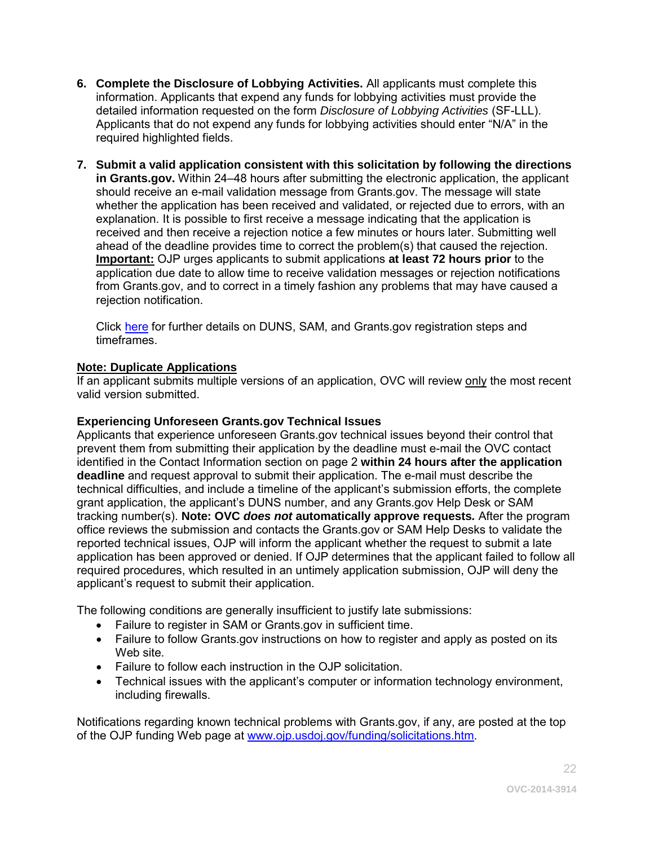- **6. Complete the Disclosure of Lobbying Activities.** All applicants must complete this information. Applicants that expend any funds for lobbying activities must provide the detailed information requested on the form *Disclosure of Lobbying Activities* (SF-LLL). Applicants that do not expend any funds for lobbying activities should enter "N/A" in the required highlighted fields.
- **7. Submit a valid application consistent with this solicitation by following the directions in Grants.gov.** Within 24–48 hours after submitting the electronic application, the applicant should receive an e-mail validation message from Grants.gov. The message will state whether the application has been received and validated, or rejected due to errors, with an explanation. It is possible to first receive a message indicating that the application is received and then receive a rejection notice a few minutes or hours later. Submitting well ahead of the deadline provides time to correct the problem(s) that caused the rejection. **Important:** OJP urges applicants to submit applications **at least 72 hours prior** to the application due date to allow time to receive validation messages or rejection notifications from Grants.gov, and to correct in a timely fashion any problems that may have caused a rejection notification.

Click [here](http://www.grants.gov/web/grants/applicants/organization-registration.html) for further details on DUNS, SAM, and Grants.gov registration steps and timeframes.

#### **Note: Duplicate Applications**

If an applicant submits multiple versions of an application, OVC will review only the most recent valid version submitted.

#### **Experiencing Unforeseen Grants.gov Technical Issues**

Applicants that experience unforeseen Grants.gov technical issues beyond their control that prevent them from submitting their application by the deadline must e-mail the OVC contact identified in the Contact Information section on page 2 **within 24 hours after the application deadline** and request approval to submit their application. The e-mail must describe the technical difficulties, and include a timeline of the applicant's submission efforts, the complete grant application, the applicant's DUNS number, and any Grants.gov Help Desk or SAM tracking number(s). **Note: OVC** *does not* **automatically approve requests***.* After the program office reviews the submission and contacts the Grants.gov or SAM Help Desks to validate the reported technical issues, OJP will inform the applicant whether the request to submit a late application has been approved or denied. If OJP determines that the applicant failed to follow all required procedures, which resulted in an untimely application submission, OJP will deny the applicant's request to submit their application.

The following conditions are generally insufficient to justify late submissions:

- Failure to register in SAM or Grants.gov in sufficient time.
- Failure to follow Grants.gov instructions on how to register and apply as posted on its Web site.
- Failure to follow each instruction in the OJP solicitation.
- Technical issues with the applicant's computer or information technology environment, including firewalls.

Notifications regarding known technical problems with Grants.gov, if any, are posted at the top of the OJP funding Web page at [www.ojp.usdoj.gov/funding/solicitations.htm.](http://www.ojp.gov/funding/solicitations.htm)

22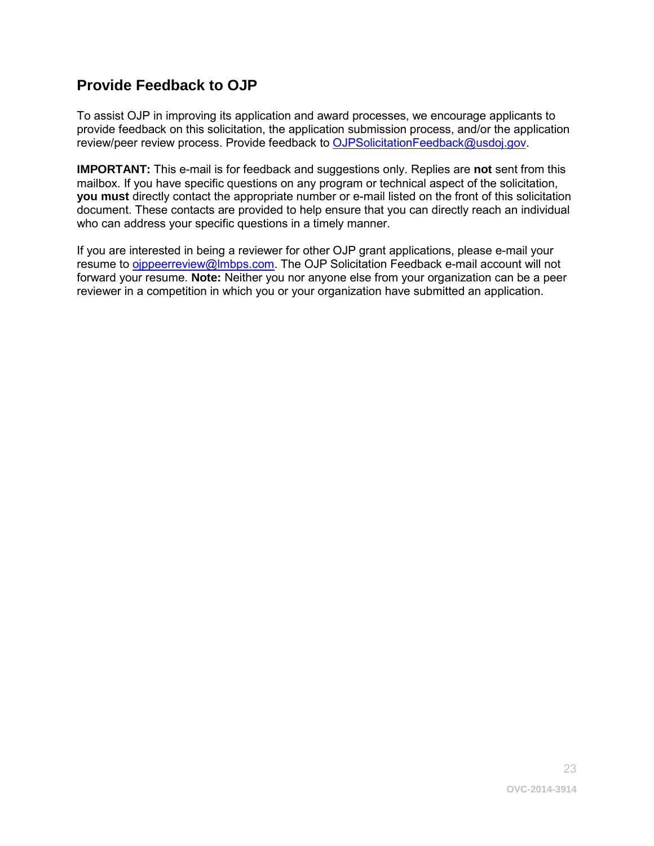## <span id="page-22-0"></span>**Provide Feedback to OJP**

To assist OJP in improving its application and award processes, we encourage applicants to provide feedback on this solicitation, the application submission process, and/or the application review/peer review process. Provide feedback to [OJPSolicitationFeedback@usdoj.gov.](mailto:OJPSolicitationFeedback@usdoj.gov)

**IMPORTANT:** This e-mail is for feedback and suggestions only. Replies are **not** sent from this mailbox. If you have specific questions on any program or technical aspect of the solicitation, **you must** directly contact the appropriate number or e-mail listed on the front of this solicitation document. These contacts are provided to help ensure that you can directly reach an individual who can address your specific questions in a timely manner.

If you are interested in being a reviewer for other OJP grant applications, please e-mail your resume to oippeerreview@lmbps.com. The OJP Solicitation Feedback e-mail account will not forward your resume. **Note:** Neither you nor anyone else from your organization can be a peer reviewer in a competition in which you or your organization have submitted an application.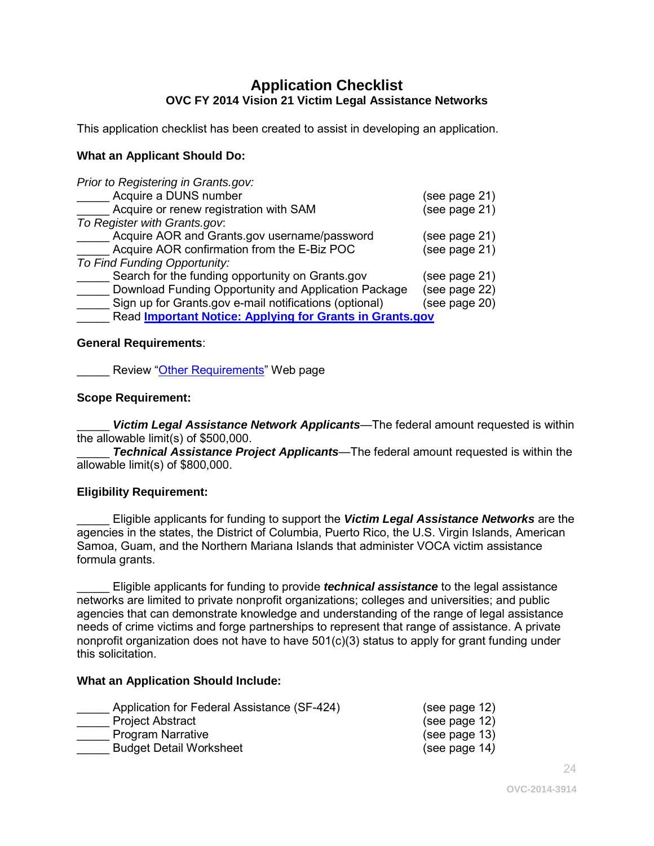#### **Application Checklist OVC FY 2014 Vision 21 Victim Legal Assistance Networks**

<span id="page-23-0"></span>This application checklist has been created to assist in developing an application.

#### **What an Applicant Should Do:**

| Prior to Registering in Grants.gov:                      |               |
|----------------------------------------------------------|---------------|
| Acquire a DUNS number                                    | (see page 21) |
| Acquire or renew registration with SAM                   | (see page 21) |
| To Register with Grants.gov.                             |               |
| Acquire AOR and Grants.gov username/password             | (see page 21) |
| Acquire AOR confirmation from the E-Biz POC              | (see page 21) |
| To Find Funding Opportunity:                             |               |
| Search for the funding opportunity on Grants.gov         | (see page 21) |
| Download Funding Opportunity and Application Package     | (see page 22) |
| Sign up for Grants.gov e-mail notifications (optional)   | (see page 20) |
| Read Important Notice: Applying for Grants in Grants.gov |               |

#### **General Requirements**:

Review ["Other Requirements"](http://www.ojp.usdoj.gov/funding/other_requirements.htm) Web page

#### **Scope Requirement:**

**Victim Legal Assistance Network Applicants—The federal amount requested is within** the allowable limit(s) of \$500,000.

**Technical Assistance Project Applicants**—The federal amount requested is within the allowable limit(s) of \$800,000.

#### **Eligibility Requirement:**

\_\_\_\_\_ Eligible applicants for funding to support the *Victim Legal Assistance Networks* are the agencies in the states, the District of Columbia, Puerto Rico, the U.S. Virgin Islands, American Samoa, Guam, and the Northern Mariana Islands that administer VOCA victim assistance formula grants.

\_\_\_\_\_ Eligible applicants for funding to provide *technical assistance* to the legal assistance networks are limited to private nonprofit organizations; colleges and universities; and public agencies that can demonstrate knowledge and understanding of the range of legal assistance needs of crime victims and forge partnerships to represent that range of assistance. A private nonprofit organization does not have to have  $501(c)(3)$  status to apply for grant funding under this solicitation.

#### **What an Application Should Include:**

| Application for Federal Assistance (SF-424) | (see page 12) |
|---------------------------------------------|---------------|
| <b>Project Abstract</b>                     | (see page 12) |
| <b>Program Narrative</b>                    | (see page 13) |
| <b>Budget Detail Worksheet</b>              | (see page 14) |

24